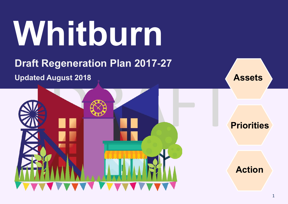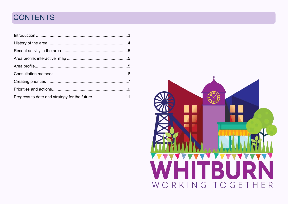# **CONTENTS**

| Progress to date and strategy for the future 11 |  |
|-------------------------------------------------|--|

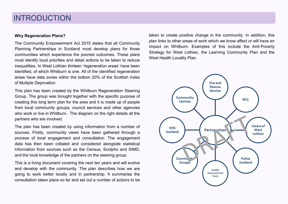### INTRODUCTION

#### **Why Regeneration Plans?**

The Community Empowerment Act 2015 states that all Community Planning Partnerships in Scotland must develop plans for those communities which experience the poorest outcomes. These plans must identify local priorities and detail actions to be taken to reduce inequalities. In West Lothian thirteen 'regeneration areas' have been identified, of which Whitburn is one. All of the identified regeneration areas have data zones within the bottom 20% of the Scottish Index of Multiple Deprivation.

This plan has been created by the Whitburn Regeneration Steering Group. The group was brought together with the specific purpose of creating this long term plan for the area and it is made up of people from local community groups, council services and other agencies who work or live in Whitburn. The diagram on the right details all the partners who are involved.

The plan has been created by using information from a number of sources. Firstly, community views have been gathered through a process of local engagement and consultation. The engagement data has then been collated and considered alongside statistical information from sources such as the Census, Scotpho and SIMD, and the local knowledge of the partners on the steering group.

This is a living document covering the next ten years and will evolve and develop with the community. The plan describes how we are going to work better locally and in partnership. It summarise the consultation taken place so far and set out a number of actions to be

taken to create positive change in the community. In addition, this plan links to other areas of work which we know affect or will have an impact on Whitburn. Examples of this include the Anti-Poverty Strategy for West Lothian, the Learning Community Plan and the West Health Locality Plan.

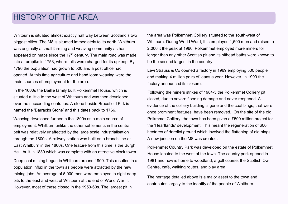### HISTORY OF THE AREA

Whitburn is situated almost exactly half way between Scotland's two biggest cities. The M8 is situated immediately to its north. Whitburn was originally a small farming and weaving community as has appeared on maps since the  $17<sup>th</sup>$  century. The main road was made into a turnpike in 1753, where tolls were charged for its upkeep. By 1796 the population had grown to 500 and a post office had opened. At this time agriculture and hand loom weaving were the main sources of employment for the area.

In the 1600s the Baillie family built Polkemmet House, which is situated a little to the west of Whitburn and was then developed over the succeeding centuries. A stone beside Brucefield Kirk is named the 'Barracks Stone' and this dates back to 1766.

Weaving developed further in the 1800s as a main source of employment. Whitburn unlike the other settlements in the central belt was relatively unaffected by the large scale industrialisation through the 1800s. A railway station was built on a branch line at East Whitburn in the 1860s. One feature from this time is the Burgh Hall, built in 1830 which was complete with an attractive clock tower.

Deep coal mining began in Whitburn around 1900. This resulted in a population influx in the town as people were attracted by the new mining jobs. An average of 5,000 men were employed in eight deep pits to the east and west of Whitburn at the end of World War II. However, most of these closed in the 1950-60s. The largest pit in

the area was Polkemmet Colliery situated to the south-west of Whitburn. During World War I, this employed 1,500 men and raised to 2,000 it the peak at 1960. Polkemmet employed more miners for longer than any other Scottish pit and its pithead baths were known to be the second largest in the country.

Levi Strauss & Co opened a factory in 1969 employing 500 people and making 4 million pairs of jeans a year. However, in 1999 the factory announced its closure.

Following the miners strikes of 1984-5 the Polkemmet Colliery pit closed, due to severe flooding damage and never reopened. All evidence of the colliery building is gone and the coal bings, that were once prominent features, have been removed. On the site of the old Polkmmet Colliery, the town has been given a £500 million project for the 'Heartlands' development. This meant the regeneration of 600 hectares of derelict ground which involved the flattening of old bings. A new junction on the M8 was created.

Polkemmet Country Park was developed on the estate of Polkemmet House located to the west of the town. The country park opened in 1981 and now is home to woodland, a golf course, the Scottish Owl Centre, café, walking routes, and play area.

The heritage detailed above is a major asset to the town and contributes largely to the identify of the people of Whitburn.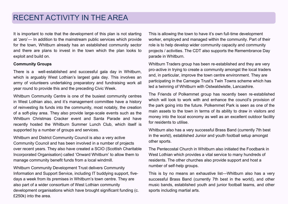### RECENT ACTIVITY IN THE AREA

It is important to note that the development of this plan is not starting at 'zero'— In addition to the mainstream public services which provide for the town, Whitburn already has an established community sector and there are plans to invest in the town which the plan looks to exploit and build on.

#### **Community Groups**

There is a well-established and successful gala day in Whitburn, which is arguably West Lothian's largest gala day. This involves an army of volunteers undertaking preparatory and fundraising work all year round to provide this and the preceding Civic Week.

Whitburn Community Centre is one of the busiest community centres in West Lothian also, and it's management committee have a history of reinvesting its funds into the community, most notably, the creation of a soft-play area. They also provide large-scale events such as the Whitburn Christmas Cracker event and Santa Parade and have recently hosted the Whitburn Summer Lunch Club, which itself is supported by a number of groups and services.

Whitburn and District Community Council is also a very active Community Council and has been involved in a number of projects over recent years. They also have created a SCIO (Scottish Charitable Incorporated Organisation) called 'Onward Whitburn' to allow them to manage community benefit funds from a local windmill.

Whitburn Community Development Trust delivers Community Information and Support Service, including IT buddying support, fivedays a week from its premises in Whitburn's town centre. They are also part of a wider consortium of West Lothian community development organisations which have brought significant funding (c. £250k) into the area.

This is allowing the town to have it's own full-time development worker, employed and managed within the community. Part of their role is to help develop wider community capacity and community projects / activities. The CDT also supports the Remembrance Day parade in Whitburn.

Whitburn Traders group has been re-established and they are very pro-active in trying to create a community amongst the local traders and, in particular, improve the town centre environment. They are participating in the Carnegie Trust's Twin Towns scheme which has led a twinning of Whitburn with Ostwaldwistle, Lancashire.

The Friends of Polkemmet group has recently been re-established which will look to work with and enhance the council's provision of the park going into the future. Polkemmet Park is seen as one of the main assets to the town in terms of its ability to draw in visitors and money into the local economy as well as an excellent outdoor facility for residents to utilise.

Whitburn also has a very successful Brass Band (currently 7th best in the world), established Junior and youth football setup amongst other sports.

The Pentecostal Church in Whitburn also initiated the Foodbank in West Lothian which provides a vital service to many hundreds of residents. The other churches also provide support and host a number of self-help groups.

This is by no means an exhaustive list—Whitburn also has a very successful Brass Band (currently 7th best in the world), and other music bands, established youth and junior football teams, and other sports including martial arts.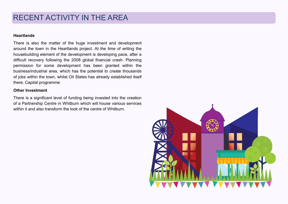## RECENT ACTIVITY IN THE AREA

#### **Heartlands**

There is also the matter of the huge investment and development around the town in the Heartlands project. At the time of writing the housebuilding element of the development is developing pace, after a difficult recovery following the 2008 global financial crash. Planning permission for some development has been granted within the business/industrial area, which has the potential to create thousands of jobs within the town, whilst Oil States has already established itself there. Capital programme

#### **Other Investment**

There is a significant level of funding being invested into the creation of a Partnership Centre in Whitburn which will house various services within it and also transform the look of the centre of Whitburn.

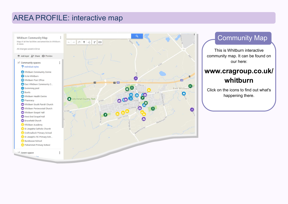## AREA PROFILE: interactive map



### Community Map

This is Whitburn interactive community map. It can be found on our here:

### **[www.cragroup.co.uk/](http://www.cragroup.co.uk/armadale) [whitburn](http://www.cragroup.co.uk/armadale)**

Click on the icons to find out what's happening there.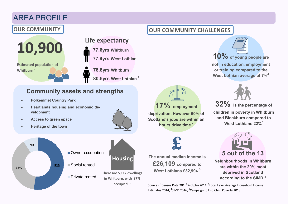# AREA PROFILE

**10,900 Estimated population of Whitburn<sup>1</sup>**

#### **Life expectancy**

**77.6yrs Whitburn 77.9yrs West Lothian 78.8yrs Whitburn 80.5yrs West Lothian <sup>2</sup>**

#### **Community assets and strengths**

- **Polkemmet Country Park**
- **Heartlands housing and economic development**
- **Access to green space**
- **Heritage of the town**



### **OUR COMMUNITY OUR COMMUNITY OUR COMMUNITY** CHALLENGES

**£**

**17% employment** 

**deprivation. However 60% of Scotland's jobs are within an hours drive time.<sup>4</sup>**

**The annual median income is** 

**£26,109 compared to West Lothians £32,994.<sup>3</sup>**





**children in poverty in Whitburn and Blackburn compared to West Lothians 22%<sup>5</sup>**



**Neighbourhoods in Whitburn are within the 20% most deprived in Scotland according to the SIMD.<sup>4</sup>**

Sources: <sup>1</sup>Census Data 201; <sup>2</sup>Scotpho 2011; <sup>3</sup>Local Level Average Household Income Estimates 2014; <sup>4</sup>SIMD 2016; <sup>5</sup>Campaign to End Child Poverty 2018

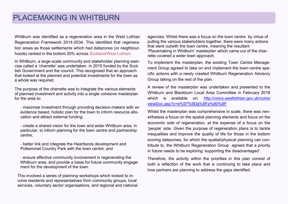### PLACEMAKING IN WHITBURN

Whitburn was identified as a regeneration area in the West Lothian Regeneration Framework 2014-2034. This identified that regeneration areas as those settlements which had datazones (or neighbourhoods) ranked in the bottom 20% across Scotland/West Lothian.

In Whitburn, a large-scale community and stakeholder planning exercise called a 'charrette' was undertaken in 2015 funded by the Scottish Government and the council. This recognised that an approach that looked at the planned and potential investments for the town as a whole was required.

The purpose of the charrette was to integrate the various elements of planned investment and activity into a single cohesive masterplan for the area to:

- maximise investment through providing decision-makers with an evidence based, holistic plan for the town to inform resource allocation and attract external funding;

- create a shared vision for the town and wider Whitburn area, in particular, to inform planning for the town centre and partnership centre;

- better link and integrate the Heartlands development and Polkemmet Country Park with the town centre; and

- ensure effective community involvement in regenerating the Whitburn area, and provide a basis for future community engagement for the development of the town.

This involved a series of planning workshops which looked to involve residents and representatives from community groups, local services, voluntary sector organisations, and regional and national agencies. Whilst there was a focus on the town centre by virtue of pulling the various stakeholders together, there were many actions that were outwith the town centre, meaning the resultant 'Placemaking in Whitburn' masterplan which came out of the charrette covered a wider town approach.

To implement the masterplan, the existing Town Centre Management Group agreed to take on and implement the town-centre specific actions with a newly created Whitburn Regeneration Advisory Group taking on the rest of the plan.

A review of the masterplan was undertaken and presented to the Whitburn and Blackburn Local Area Committee in February 2018 which is available on: [http://coins.westlothian.gov.uk/coins/](http://coins.westlothian.gov.uk/coins/viewDoc.asp?c=e%97%9Dg%8Fp%80%8F) [viewDoc.asp?c=e%97%9Dg%8Fp%80%8F](http://coins.westlothian.gov.uk/coins/viewDoc.asp?c=e%97%9Dg%8Fp%80%8F)

Whilst the masterplan was comprehensive in scale, there was nevertheless a focus on the spatial planning elements and focus on the economic side of regeneration, at the expense of a focus on the 'people' side. Given the purpose of regeneration plans is to tackle inequalities and improve the quality of life for those in the bottom scoring datazones, for which the spatial/physical planning can contribute to, the Whitburn Regeneration Group agreed that a priority in future needs to be exploring 'supporting the disadvantaged'.

Therefore, the activity within the priorities in this plan consist of both a reflection of the work that is continuing to take place and how partners are planning to address the gaps identified.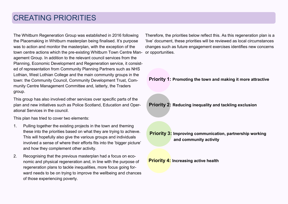## CREATING PRIORITIES

The Whitburn Regeneration Group was established in 2016 following the Placemaking in Whitburn masterplan being finalised. It's purpose was to action and monitor the masterplan, with the exception of the town centre actions which the pre-existing Whitburn Town Centre Management Group. In addition to the relevant council services from the Planning, Economic Development and Regeneration service, it consisted of representation from Community Planning Partners such as NHS Lothian, West Lothian College and the main community groups in the town: the Community Council, Community Development Trust, Community Centre Management Committee and, latterly, the Traders group.

This group has also involved other services over specific parts of the plan and new initiatives such as Police Scotland, Education and Operational Services in the council.

This plan has tried to cover two elements:

- 1. Pulling together the existing projects in the town and theming these into the priorities based on what they are trying to achieve. This will hopefully also give the various groups and individuals involved a sense of where their efforts fits into the 'bigger picture' and how they complement other activity.
- 2. Recognising that the previous masterplan had a focus on economic and physical regeneration and, in line with the purpose of regeneration plans to tackle inequalities, more focus going forward needs to be on trying to improve the wellbeing and chances of those experiencing poverty.

Therefore, the priorities below reflect this. As this regeneration plan is a 'live' document, these priorities will be reviewed as local circumstances changes such as future engagement exercises identifies new concerns or opportunities.

#### **Priority 1: Promoting the town and making it more attractive**

**Priority 2: Reducing inequality and tackling exclusion** 

**Priority 3: Improving communication, partnership working and community activity** 

**Priority 4: Increasing active health**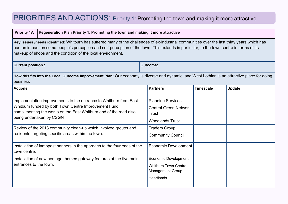### PRIORITIES AND ACTIONS: Priority 1: Promoting the town and making it more attractive

#### **Priority 1A** Regeneration Plan Priority 1: Promoting the town and making it more attractive

**Key Issues /needs identified:** Whitburn has suffered many of the challenges of ex-industrial communities over the last thirty years which has had an impact on some people's perception and self-perception of the town. This extends in particular, to the town centre in terms of its makeup of shops and the condition of the local environment.

| <b>Current position:</b>                                                                                                                                                                                                      | <b>Outcome:</b>                                                                                            |                  |               |  |  |
|-------------------------------------------------------------------------------------------------------------------------------------------------------------------------------------------------------------------------------|------------------------------------------------------------------------------------------------------------|------------------|---------------|--|--|
| How this fits into the Local Outcome Improvement Plan: Our economy is diverse and dynamic, and West Lothian is an attractive place for doing<br>business                                                                      |                                                                                                            |                  |               |  |  |
| <b>Actions</b>                                                                                                                                                                                                                | <b>Partners</b>                                                                                            | <b>Timescale</b> | <b>Update</b> |  |  |
| Implementation improvements to the entrance to Whitburn from East<br>Whitburn funded by both Town Centre Improvement Fund,<br>complimenting the works on the East Whitburn end of the road also<br>being undertaken by CSGNT. | <b>Planning Services</b><br><b>Central Green Network</b><br>Trust<br><b>Woodlands Trust</b>                |                  |               |  |  |
| Review of the 2018 community clean-up which involved groups and<br>residents targeting specific areas within the town.                                                                                                        | <b>Traders Group</b><br><b>Community Council</b>                                                           |                  |               |  |  |
| Installation of lamppost banners in the approach to the four ends of the<br>town centre.                                                                                                                                      | Economic Development                                                                                       |                  |               |  |  |
| Installation of new heritage themed gateway features at the five main<br>entrances to the town.                                                                                                                               | <b>Economic Development</b><br><b>Whitburn Town Centre</b><br><b>Management Group</b><br><b>Heartlands</b> |                  |               |  |  |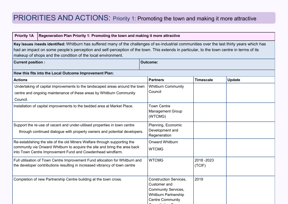# PRIORITIES AND ACTIONS: Priority 1: Promoting the town and making it more attractive

| <b>Priority 1A</b>                                                                                                                                                                                                                                                                                                                                       | Regeneration Plan Priority 1: Promoting the town and making it more attractive |                                                                                                                                       |                     |               |
|----------------------------------------------------------------------------------------------------------------------------------------------------------------------------------------------------------------------------------------------------------------------------------------------------------------------------------------------------------|--------------------------------------------------------------------------------|---------------------------------------------------------------------------------------------------------------------------------------|---------------------|---------------|
| Key Issues /needs identified: Whitburn has suffered many of the challenges of ex-industrial communities over the last thirty years which has<br>had an impact on some people's perception and self-perception of the town. This extends in particular, to the town centre in terms of its<br>makeup of shops and the condition of the local environment. |                                                                                |                                                                                                                                       |                     |               |
| <b>Current position:</b><br><b>Outcome:</b>                                                                                                                                                                                                                                                                                                              |                                                                                |                                                                                                                                       |                     |               |
| How this fits into the Local Outcome Improvement Plan:                                                                                                                                                                                                                                                                                                   |                                                                                |                                                                                                                                       |                     |               |
| <b>Actions</b>                                                                                                                                                                                                                                                                                                                                           |                                                                                | <b>Partners</b>                                                                                                                       | <b>Timescale</b>    | <b>Update</b> |
| Undertaking of capital improvements to the landscaped areas around the town<br>centre and ongoing maintenance of these areas by Whitburn Community<br>Council.                                                                                                                                                                                           |                                                                                | <b>Whitburn Community</b><br>Council                                                                                                  |                     |               |
| Installation of capital improvements to the bedded area at Market Place.                                                                                                                                                                                                                                                                                 |                                                                                | <b>Town Centre</b><br><b>Management Group</b><br>(WTCMG)                                                                              |                     |               |
| Support the re-use of vacant and under-utilised properties in town centre<br>through continued dialogue with property owners and potential developers.                                                                                                                                                                                                   |                                                                                | Planning, Economic<br>Development and<br>Regeneration                                                                                 |                     |               |
| Re-establishing the site of the old Miners Welfare through supporting the<br>community via Onward Whitburn to acquire the site and bring the area back<br>into Town Centre Improvement Fund and Cowdenhead windfarm.                                                                                                                                     |                                                                                | <b>Onward Whitburn</b><br><b>WTCMG</b>                                                                                                |                     |               |
| Full utilisation of Town Centre Improvement Fund allocation for Whitburn and<br>the developer contributions resulting in increased vibrancy of town centre                                                                                                                                                                                               |                                                                                | <b>WTCMG</b>                                                                                                                          | 2018-2023<br>(TCIF) |               |
| Completion of new Partnership Centre building at the town cross.                                                                                                                                                                                                                                                                                         |                                                                                | <b>Construction Services,</b><br>Customer and<br><b>Community Services,</b><br><b>Whitburn Partnership</b><br><b>Centre Community</b> | 2019                |               |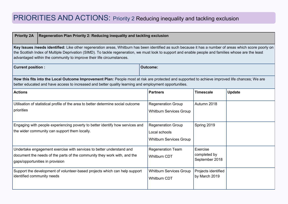# PRIORITIES AND ACTIONS: Priority 2 Reducing inequality and tackling exclusion

| <b>Priority 2A</b><br>Regeneration Plan Priority 2: Reducing inequality and tackling exclusion                                                                                                                                                                                                                                                                                            |                 |                                                                              |                                            |               |
|-------------------------------------------------------------------------------------------------------------------------------------------------------------------------------------------------------------------------------------------------------------------------------------------------------------------------------------------------------------------------------------------|-----------------|------------------------------------------------------------------------------|--------------------------------------------|---------------|
| Key Issues /needs identified: Like other regeneration areas, Whitburn has been identified as such because it has a number of areas which score poorly on<br>the Scottish Index of Multiple Deprivation (SIMD). To tackle regeneration, we must look to support and enable people and families whose are the least<br>advantaged within the community to improve their life circumstances. |                 |                                                                              |                                            |               |
| <b>Current position:</b>                                                                                                                                                                                                                                                                                                                                                                  | <b>Outcome:</b> |                                                                              |                                            |               |
| How this fits into the Local Outcome Improvement Plan: People most at risk are protected and supported to achieve improved life chances; We are<br>better educated and have access to increased and better quality learning and employment opportunities.                                                                                                                                 |                 |                                                                              |                                            |               |
| <b>Actions</b>                                                                                                                                                                                                                                                                                                                                                                            |                 | <b>Partners</b>                                                              | <b>Timescale</b>                           | <b>Update</b> |
| Utilisation of statistical profile of the area to better determine social outcome<br>priorities                                                                                                                                                                                                                                                                                           |                 | <b>Regeneration Group</b><br><b>Whitburn Services Group</b>                  | Autumn 2018                                |               |
| Engaging with people experiencing poverty to better identify how services and<br>the wider community can support them locally.                                                                                                                                                                                                                                                            |                 | <b>Regeneration Group</b><br>Local schools<br><b>Whitburn Services Group</b> | Spring 2019                                |               |
| Undertake engagement exercise with services to better understand and<br>document the needs of the parts of the community they work with, and the<br>gaps/opportunities in provision                                                                                                                                                                                                       |                 | <b>Regeneration Team</b><br><b>Whitburn CDT</b>                              | Exercise<br>completed by<br>September 2018 |               |
| Support the development of volunteer-based projects which can help support<br>identified community needs                                                                                                                                                                                                                                                                                  |                 | <b>Whitburn Services Group</b><br><b>Whitburn CDT</b>                        | Projects identified<br>by March 2019       |               |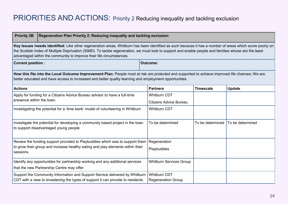# PRIORITIES AND ACTIONS: Priority 2 Reducing inequality and tackling exclusion

| <b>Priority 2B</b><br>Regeneration Plan Priority 2: Reducing inequality and tackling exclusion                                                                                                                                                                                                                                                                                            |                                                  |                  |                  |  |
|-------------------------------------------------------------------------------------------------------------------------------------------------------------------------------------------------------------------------------------------------------------------------------------------------------------------------------------------------------------------------------------------|--------------------------------------------------|------------------|------------------|--|
| Key Issues /needs identified: Like other regeneration areas, Whitburn has been identified as such because it has a number of areas which score poorly on<br>the Scottish Index of Multiple Deprivation (SIMD). To tackle regeneration, we must look to support and enable people and families whose are the least<br>advantaged within the community to improve their life circumstances. |                                                  |                  |                  |  |
| <b>Current position:</b>                                                                                                                                                                                                                                                                                                                                                                  | <b>Outcome:</b>                                  |                  |                  |  |
| How this fits into the Local Outcome Improvement Plan: People most at risk are protected and supported to achieve improved life chances; We are<br>better educated and have access to increased and better quality learning and employment opportunities.                                                                                                                                 |                                                  |                  |                  |  |
| <b>Actions</b>                                                                                                                                                                                                                                                                                                                                                                            | <b>Partners</b>                                  | <b>Timescale</b> | <b>Update</b>    |  |
| Apply for funding for a Citizens Advice Bureau advisor to have a full-time                                                                                                                                                                                                                                                                                                                | Whitburn CDT                                     |                  |                  |  |
| presence within the town.                                                                                                                                                                                                                                                                                                                                                                 | <b>Citizens Advice Bureau</b>                    |                  |                  |  |
| Investigating the potential for a 'time bank' model of volunteering in Whitburn                                                                                                                                                                                                                                                                                                           | <b>Whitburn CDT</b>                              |                  |                  |  |
| Investigate the potential for developing a community based project in the town<br>to support disadvantaged young people                                                                                                                                                                                                                                                                   | To be determined                                 | To be determined | To be determined |  |
| Review the funding support provided to Playbuddies which was to support them                                                                                                                                                                                                                                                                                                              | Regeneration                                     |                  |                  |  |
| to grow their group and increase healthy eating and play elements within their<br>sessions.                                                                                                                                                                                                                                                                                               | Playbuddies                                      |                  |                  |  |
| Identify any opportunities for partnership working and any additional services                                                                                                                                                                                                                                                                                                            | <b>Whitburn Services Group</b>                   |                  |                  |  |
| that the new Partnership Centre may offer                                                                                                                                                                                                                                                                                                                                                 |                                                  |                  |                  |  |
| Support the Community Information and Support Service delivered by Whitburn<br>CDT with a view to broadening the types of support it can provide to residents.                                                                                                                                                                                                                            | <b>Whitburn CDT</b><br><b>Regeneration Group</b> |                  |                  |  |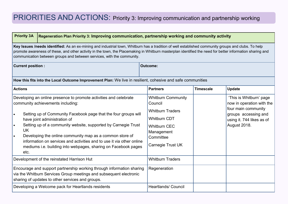# PRIORITIES AND ACTIONS: Priority 3: Improving communication and partnership working

| <b>Priority 3A</b>                                                                                                                                                                                                                                                                                                                                                                         | Regeneration Plan Priority 3: Improving communication, partnership working and community activity                                                                                                                                                                                                                                                                                                                                                                                  |                                                                                                                                                               |                  |                                                                                                                                                  |  |
|--------------------------------------------------------------------------------------------------------------------------------------------------------------------------------------------------------------------------------------------------------------------------------------------------------------------------------------------------------------------------------------------|------------------------------------------------------------------------------------------------------------------------------------------------------------------------------------------------------------------------------------------------------------------------------------------------------------------------------------------------------------------------------------------------------------------------------------------------------------------------------------|---------------------------------------------------------------------------------------------------------------------------------------------------------------|------------------|--------------------------------------------------------------------------------------------------------------------------------------------------|--|
| Key Issues /needs identified: As an ex-mining and industrial town, Whitburn has a tradition of well established community groups and clubs. To help<br>promote awareness of these, and other activity in the town, the Placemaking in Whitburn masterplan identified the need for better information sharing and<br>communication between groups and between services, with the community. |                                                                                                                                                                                                                                                                                                                                                                                                                                                                                    |                                                                                                                                                               |                  |                                                                                                                                                  |  |
| <b>Current position:</b>                                                                                                                                                                                                                                                                                                                                                                   |                                                                                                                                                                                                                                                                                                                                                                                                                                                                                    | <b>Outcome:</b>                                                                                                                                               |                  |                                                                                                                                                  |  |
|                                                                                                                                                                                                                                                                                                                                                                                            | How this fits into the Local Outcome Improvement Plan: We live in resilient, cohesive and safe communities                                                                                                                                                                                                                                                                                                                                                                         |                                                                                                                                                               |                  |                                                                                                                                                  |  |
| <b>Actions</b>                                                                                                                                                                                                                                                                                                                                                                             |                                                                                                                                                                                                                                                                                                                                                                                                                                                                                    | <b>Partners</b>                                                                                                                                               | <b>Timescale</b> | <b>Update</b>                                                                                                                                    |  |
| $\bullet$<br><b>UK</b><br>$\bullet$<br>etc.                                                                                                                                                                                                                                                                                                                                                | Developing an online presence to promote activities and celebrate<br>community achievements including:<br>Setting up of Community Facebook page that the four groups will<br>have joint administration of<br>Setting up of a community website, supported by Carnegie Trust<br>Developing the online community map as a common store of<br>information on services and activities and to use it via other online<br>mediums i.e. building into webpages, sharing on Facebook pages | <b>Whitburn Community</b><br>Council<br><b>Whitburn Traders</b><br><b>Whitburn CDT</b><br><b>Whitburn CEC</b><br>Management<br>Committee<br>Carnegie Trust UK |                  | 'This is Whitburn' page<br>now in operation with the<br>four main community<br>groups accessing and<br>using it. 744 likes as of<br>August 2018. |  |
|                                                                                                                                                                                                                                                                                                                                                                                            | Development of the reinstated Harrison Hut                                                                                                                                                                                                                                                                                                                                                                                                                                         | <b>Whitburn Traders</b>                                                                                                                                       |                  |                                                                                                                                                  |  |
|                                                                                                                                                                                                                                                                                                                                                                                            | Encourage and support partnership working through information sharing<br>via the Whitburn Services Group meetings and subsequent electronic<br>sharing of updates to other services and groups.                                                                                                                                                                                                                                                                                    | Regeneration                                                                                                                                                  |                  |                                                                                                                                                  |  |
|                                                                                                                                                                                                                                                                                                                                                                                            | <b>Heartlands/ Council</b><br>Developing a Welcome pack for Heartlands residents                                                                                                                                                                                                                                                                                                                                                                                                   |                                                                                                                                                               |                  |                                                                                                                                                  |  |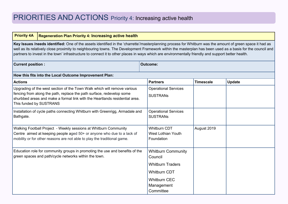| <b>Priority 4A</b>                                                                                                                                                                                                                                                                                                                                                                                                                                                            | <b>Regeneration Plan Priority 4: Increasing active health</b>                                                                                        |                                                |                  |               |
|-------------------------------------------------------------------------------------------------------------------------------------------------------------------------------------------------------------------------------------------------------------------------------------------------------------------------------------------------------------------------------------------------------------------------------------------------------------------------------|------------------------------------------------------------------------------------------------------------------------------------------------------|------------------------------------------------|------------------|---------------|
| Key Issues /needs identified: One of the assets identified in the 'charrette'/masterplanning process for Whitburn was the amount of green space it had as<br>well as its relatively close proximity to neighbouring towns. The Development Framework within the masterplan has been used as a basis for the council and<br>partners to invest in the town' infrastructure to connect it to other places in ways which are environmentally friendly and support better health. |                                                                                                                                                      |                                                |                  |               |
| <b>Outcome:</b><br><b>Current position:</b>                                                                                                                                                                                                                                                                                                                                                                                                                                   |                                                                                                                                                      |                                                |                  |               |
|                                                                                                                                                                                                                                                                                                                                                                                                                                                                               | How this fits into the Local Outcome Improvement Plan:                                                                                               |                                                |                  |               |
| <b>Actions</b>                                                                                                                                                                                                                                                                                                                                                                                                                                                                |                                                                                                                                                      | <b>Partners</b>                                | <b>Timescale</b> | <b>Update</b> |
|                                                                                                                                                                                                                                                                                                                                                                                                                                                                               | Upgrading of the west section of the Town Walk which will remove various                                                                             | <b>Operational Services</b>                    |                  |               |
| This funded by SUSTRANS                                                                                                                                                                                                                                                                                                                                                                                                                                                       | fencing from along the path, replace the path surface, redevelop some<br>shurbbed areas and make a formal link with the Heartlands residential area. | <b>SUSTRANS</b>                                |                  |               |
| Bathgate.                                                                                                                                                                                                                                                                                                                                                                                                                                                                     | Installation of cycle paths connecting Whitburn with Greenrigg, Armadale and                                                                         | <b>Operational Services</b><br><b>SUSTRANS</b> |                  |               |
|                                                                                                                                                                                                                                                                                                                                                                                                                                                                               | Walking Football Project - Weekly sessions at Whitburn Community                                                                                     | <b>Whitburn CDT</b>                            | August 2019      |               |
|                                                                                                                                                                                                                                                                                                                                                                                                                                                                               | Centre aimed at keeping people aged 50+ or anyone who due to a lack of<br>mobility or for other reasons are not able to play the traditional game.   | <b>West Lothian Youth</b><br>Foundation        |                  |               |
|                                                                                                                                                                                                                                                                                                                                                                                                                                                                               | Education role for community groups in promoting the use and benefits of the<br>green spaces and path/cycle networks within the town.                | <b>Whitburn Community</b><br>Council           |                  |               |
|                                                                                                                                                                                                                                                                                                                                                                                                                                                                               |                                                                                                                                                      | <b>Whitburn Traders</b>                        |                  |               |
|                                                                                                                                                                                                                                                                                                                                                                                                                                                                               |                                                                                                                                                      | <b>Whitburn CDT</b>                            |                  |               |
|                                                                                                                                                                                                                                                                                                                                                                                                                                                                               |                                                                                                                                                      | <b>Whitburn CEC</b><br>Management<br>Committee |                  |               |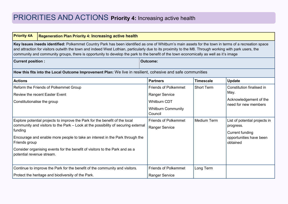| <b>Priority 4A</b>                                                                                                                                                                                                                                                                                                                                                                                                                                         | <b>Regeneration Plan Priority 4: Increasing active health</b>                                                                                                                                                                                                                                                                   |                                                                                                                     |                    |                                                                                                             |
|------------------------------------------------------------------------------------------------------------------------------------------------------------------------------------------------------------------------------------------------------------------------------------------------------------------------------------------------------------------------------------------------------------------------------------------------------------|---------------------------------------------------------------------------------------------------------------------------------------------------------------------------------------------------------------------------------------------------------------------------------------------------------------------------------|---------------------------------------------------------------------------------------------------------------------|--------------------|-------------------------------------------------------------------------------------------------------------|
| Key Issues /needs identified: Polkemmet Country Park has been identified as one of Whitburn's main assets for the town in terms of a recreation space<br>and attraction for visitors outwith the town and indeed West Lothian, particularly due to its proximity to the M8. Through working with park users, the<br>community and community groups, there is opportunity to develop the park to the benefit of the town economically as well as it's image |                                                                                                                                                                                                                                                                                                                                 |                                                                                                                     |                    |                                                                                                             |
| <b>Outcome:</b><br><b>Current position:</b>                                                                                                                                                                                                                                                                                                                                                                                                                |                                                                                                                                                                                                                                                                                                                                 |                                                                                                                     |                    |                                                                                                             |
|                                                                                                                                                                                                                                                                                                                                                                                                                                                            | How this fits into the Local Outcome Improvement Plan: We live in resilient, cohesive and safe communities                                                                                                                                                                                                                      |                                                                                                                     |                    |                                                                                                             |
| <b>Actions</b>                                                                                                                                                                                                                                                                                                                                                                                                                                             |                                                                                                                                                                                                                                                                                                                                 | <b>Partners</b>                                                                                                     | <b>Timescale</b>   | <b>Update</b>                                                                                               |
| Constitutionalise the group                                                                                                                                                                                                                                                                                                                                                                                                                                | Reform the Friends of Polkemmet Group<br><b>Review the recent Easter Event</b>                                                                                                                                                                                                                                                  | <b>Friends of Polkemmet</b><br><b>Ranger Service</b><br><b>Whitburn CDT</b><br><b>Whitburn Community</b><br>Council | <b>Short Term</b>  | Constitution finalised in<br>May.<br>Acknowledgement of the<br>need for new members                         |
| funding<br>Friends group<br>potential revenue stream.                                                                                                                                                                                                                                                                                                                                                                                                      | Explore potential projects to improve the Park for the benefit of the local<br>community and visitors to the Park - Look at the possibility of securing external<br>Encourage and enable more people to take an interest in the Park through the<br>Consider organising events for the benefit of visitors to the Park and as a | <b>Friends of Polkemmet</b><br><b>Ranger Service</b>                                                                | <b>Medium Term</b> | List of potential projects in<br>progress.<br><b>Current funding</b><br>opportunities have been<br>obtained |
|                                                                                                                                                                                                                                                                                                                                                                                                                                                            | Continue to improve the Park for the benefit of the community and visitors.                                                                                                                                                                                                                                                     | <b>Friends of Polkemmet</b>                                                                                         | Long Term          |                                                                                                             |
|                                                                                                                                                                                                                                                                                                                                                                                                                                                            | Protect the heritage and biodiversity of the Park.                                                                                                                                                                                                                                                                              | <b>Ranger Service</b>                                                                                               |                    |                                                                                                             |